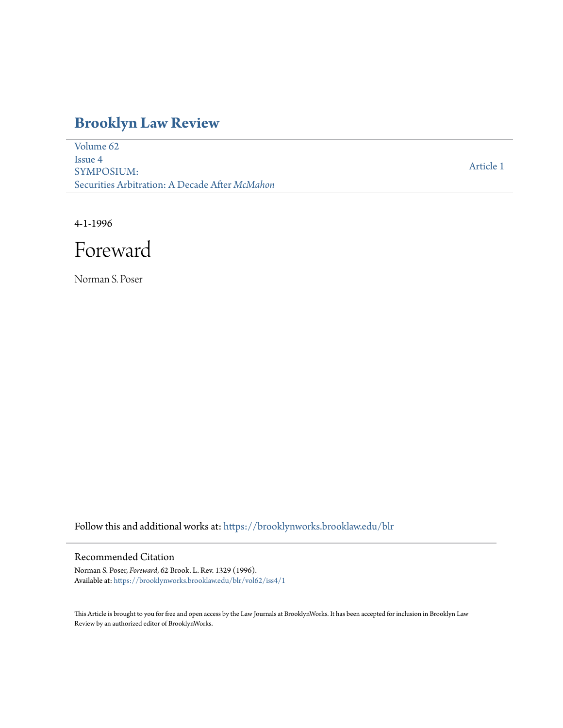# **[Brooklyn Law Review](https://brooklynworks.brooklaw.edu/blr?utm_source=brooklynworks.brooklaw.edu%2Fblr%2Fvol62%2Fiss4%2F1&utm_medium=PDF&utm_campaign=PDFCoverPages)**

[Volume 62](https://brooklynworks.brooklaw.edu/blr/vol62?utm_source=brooklynworks.brooklaw.edu%2Fblr%2Fvol62%2Fiss4%2F1&utm_medium=PDF&utm_campaign=PDFCoverPages) [Issue 4](https://brooklynworks.brooklaw.edu/blr/vol62/iss4?utm_source=brooklynworks.brooklaw.edu%2Fblr%2Fvol62%2Fiss4%2F1&utm_medium=PDF&utm_campaign=PDFCoverPages) SYMPOSIUM: Securities Arbitration: A Decade After *McMahon*

[Article 1](https://brooklynworks.brooklaw.edu/blr/vol62/iss4/1?utm_source=brooklynworks.brooklaw.edu%2Fblr%2Fvol62%2Fiss4%2F1&utm_medium=PDF&utm_campaign=PDFCoverPages)

4-1-1996

Foreward

Norman S. Poser

Follow this and additional works at: [https://brooklynworks.brooklaw.edu/blr](https://brooklynworks.brooklaw.edu/blr?utm_source=brooklynworks.brooklaw.edu%2Fblr%2Fvol62%2Fiss4%2F1&utm_medium=PDF&utm_campaign=PDFCoverPages)

### Recommended Citation

Norman S. Poser, *Foreward*, 62 Brook. L. Rev. 1329 (1996). Available at: [https://brooklynworks.brooklaw.edu/blr/vol62/iss4/1](https://brooklynworks.brooklaw.edu/blr/vol62/iss4/1?utm_source=brooklynworks.brooklaw.edu%2Fblr%2Fvol62%2Fiss4%2F1&utm_medium=PDF&utm_campaign=PDFCoverPages)

This Article is brought to you for free and open access by the Law Journals at BrooklynWorks. It has been accepted for inclusion in Brooklyn Law Review by an authorized editor of BrooklynWorks.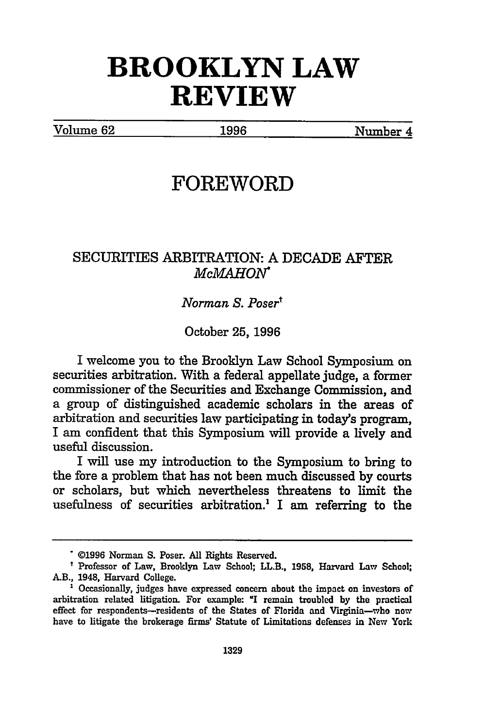# **BROOKLYN LAW REVIEW**

Volume **62** 1996 Number 4

## **FOREWORD**

## SECURITIES ARBITRATION: A DECADE AFTER *McMAHON"*

#### *Norman S. Posert*

October **25,** 1996

I welcome you to the Brooklyn Law School Symposium on securities arbitration. With a federal appellate judge, a former commissioner of the Securities and Exchange Commission, and a group of distinguished academic scholars in the areas of arbitration and securities law participating in today's program, I am confident that this Symposium will provide a lively and useful discussion.

I will use my introduction to the Symposium to bring to the fore a problem that has not been much discussed by courts or scholars, but which nevertheless threatens to limit the usefulness of securities arbitration.<sup>1</sup> I am referring to the

**<sup>\*©1996</sup>** Norman **S.** Poser. **All** Rights Reserved.

**t** Professor of Law, Brooklyn Law School; LL.B., **1958,** Harvard Law School; AB., 1948, Harvard College. **<sup>1</sup>**Occasionally, judges have expressed concern about the impact on investors of

arbitration related litigation. For example: "I remain troubled **by** the practical effect for respondents-residents of the States of Florida and Virginia-who now have to litigate the brokerage firms' Statute of Limitations defenses in New York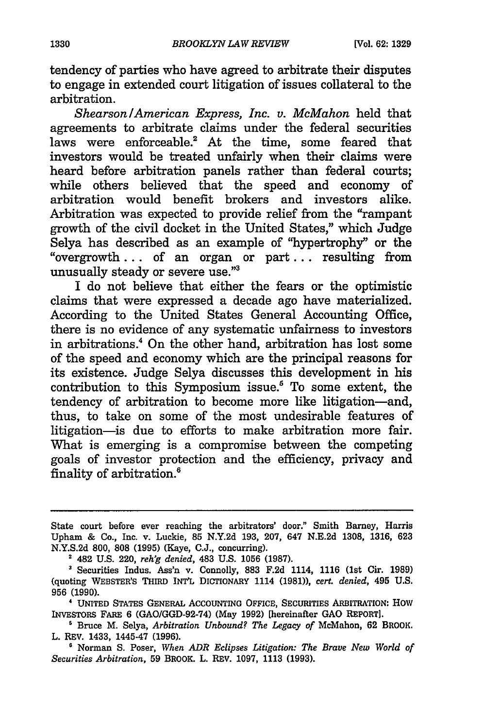tendency of parties who have agreed to arbitrate their disputes to engage in extended court litigation of issues collateral to the arbitration.

*Shearson/American Express, Inc. v. McMahon* held that agreements to arbitrate claims under the federal securities laws were enforceable.<sup>2</sup> At the time, some feared that investors would be treated unfairly when their claims were heard before arbitration panels rather than federal courts; while others believed that the speed and economy of arbitration would benefit brokers and investors alike. Arbitration was expected to provide relief from the "rampant growth of the civil docket in the United States," which Judge Selya has described as an example of 'hypertrophy" or the "overgrowth... of an organ or part... resulting from unusually steady or severe use."3

I do not believe that either the fears or the optimistic claims that were expressed a decade ago have materialized. According to the United States General Accounting Office, there is no evidence of any systematic unfairness to investors in arbitrations.4 On the other hand, arbitration has lost some of the speed and economy which are the principal reasons for its existence. Judge Selya discusses this development in his contribution to this Symposium issue.5 To some extent, the tendency of arbitration to become more like litigation-and, thus, to take on some of the most undesirable features of litigation-is due to efforts to make arbitration more fair. What is emerging is a compromise between the competing goals of investor protection and the efficiency, privacy and finality of arbitration.<sup>6</sup>

State court before ever reaching the arbitrators' door." Smith Barney, Harris Upham & Co., Inc. v. Luckie, **85** N.Y.2d 193, 207, 647 N.E.2d 1308, 1316, 623 N.Y.S.2d 800, 808 (1995) (Kaye, C.J., concurring).

**2** 482 U.S. 220, *reh'g denied,* 483 U.S. 1056 (1987).

**4** UNITED STATES GENERAL ACCOUNTING **OFFICE,** SEcumTiEs ARBITRATION: HOW INVESTORS FARE **6** (GAO/GGD-92-74) (May **1992)** [hereinafter GAO REPORT].

**'** Bruce M. Selya, *Arbitration Unbound? The Legacy of* McMahon, 62 BROOK. L. REV. 1433, 1445-47 (1996).

**'** Norman S. Poser, *When ADR Eclipses Litigation: The Brave New World of Securities Arbitration,* 59 BROOK. L. REV. 1097, 1113 (1993).

Securities Indus. Ass'n v. Connolly, **883** F.2d 1114, 1116 (1st Cir. 1989) (quoting WEBSTER'S THIRD INT'L DICTIONARY 1114 **(1981)),** *cert. denied,* 495 U.S. **956** (1990).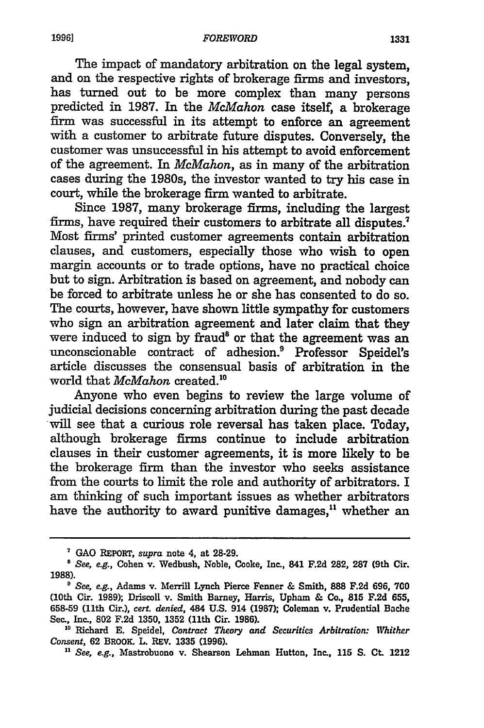The impact of mandatory arbitration on the legal system, and on the respective rights of brokerage firms and investors, has turned out to be more complex than many persons predicted in **1987.** In the *McMahon* case itself, a brokerage **firm** was successful in its attempt to enforce an agreement with a customer to arbitrate future disputes. Conversely, the customer was unsuccessful in his attempt to avoid enforcement of the agreement. In *McMahon,* as in many of the arbitration cases during the 1980s, the investor wanted to try his case in court, while the brokerage firm wanted to arbitrate.

Since 1987, many brokerage firms, including the largest firms, have required their customers to arbitrate all disputes.<sup>7</sup> Most firms' printed customer agreements contain arbitration clauses, and customers, especially those who wish to open margin accounts or to trade options, have no practical choice but to sign. Arbitration is based on agreement, and nobody can be forced to arbitrate unless he or she has consented to do so. The courts, however, have shown little sympathy for customers who sign an arbitration agreement and later claim that they were induced to sign by fraud' or that the agreement was an unconscionable contract of adhesion.<sup>9</sup> Professor Speidel's article discusses the consensual basis of arbitration in the world that *McMahon* created.

Anyone who even begins to review the large volume of judicial decisions concerning arbitration during the past decade will see that a curious role reversal has taken place. Today, although brokerage firms continue to include arbitration clauses in their customer agreements, it is more likely to be the brokerage firm than the investor who seeks assistance from the courts to limit the role and authority of arbitrators. I am thinking of such important issues as whether arbitrators have the authority to award punitive damages,<sup>11</sup> whether an

**GAO** REPORT, *supra* note 4, at **28-29.**

*<sup>8</sup> See, e.g.,* Cohen v. Wedbush, Noble, Cooke, Inc., 841 **F.2d** 282, **287** (9th Cir. **1988).**

*<sup>&#</sup>x27; See, e.g.,* Adams v. Merrill Lynch Pierce Fenner **&** Smith, **888 F.2d 696, 700** (10th Cir. **1989);** Driscoll v. Smith Barney, Harris, Upham **&** Co., **815 F.2d 655, 658-59** (11th Cir.), *cert. denied,* 484 **U.S.** 914 **(1987);** Coleman v. Prudential Bache Se., Inc., **802 F.2d 1350, 1352** (11th Cir. **1986).**

**<sup>&</sup>quot;0** Richard **E.** Speidel, *Contract Theory and Securities Arbitration: Whither Consent,* **62** BROOK. L. REV. **1335 (1996).**

*<sup>&</sup>quot; See, e.g.,* Mastrobuono v. Shearson Lehman Hutton, Inc., **115 S. Ct.** 1212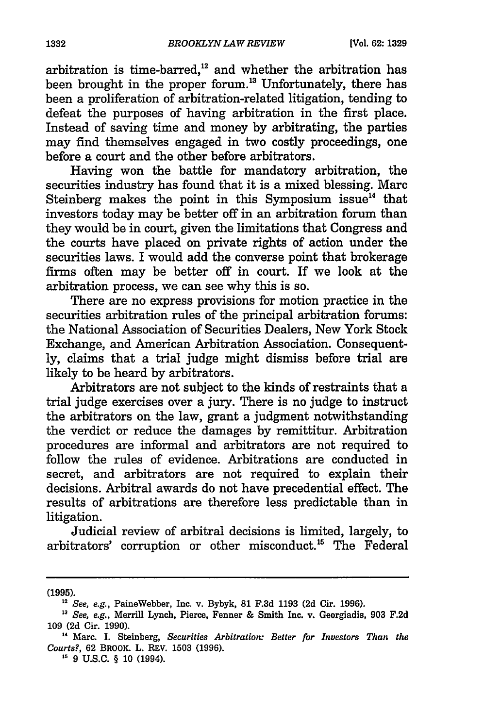arbitration is time-barred, $^{12}$  and whether the arbitration has been brought in the proper forum.<sup>13</sup> Unfortunately, there has been a proliferation of arbitration-related litigation, tending to defeat the purposes of having arbitration in the first place. Instead of saving time and money by arbitrating, the parties may find themselves engaged in two costly proceedings, one before a court and the other before arbitrators.

Having won the battle for mandatory arbitration, the securities industry has found that it is a mixed blessing. Marc Steinberg makes the point in this Symposium issue $<sup>14</sup>$  that</sup> investors today may be better off in an arbitration forum than they would be in court, given the limitations that Congress and the courts have placed on private rights of action under the securities laws. I would add the converse point that brokerage firms often may be better off in court. If we look at the arbitration process, we can see why this is so.

There are no express provisions for motion practice in the securities arbitration rules of the principal arbitration forums: the National Association of Securities Dealers, New York Stock Exchange, and American Arbitration Association. Consequently, claims that a trial judge might dismiss before trial are likely to be heard by arbitrators.

Arbitrators are not subject to the kinds of restraints that a trial judge exercises over a jury. There is no judge to instruct the arbitrators on the law, grant a judgment notwithstanding the verdict or reduce the damages by remittitur. Arbitration procedures are informal and arbitrators are not required to follow the rules of evidence. Arbitrations are conducted in secret, and arbitrators are not required to explain their decisions. Arbitral awards do not have precedential effect. The results of arbitrations are therefore less predictable than in litigation.

Judicial review of arbitral decisions is limited, largely, to arbitrators' corruption or other misconduct.<sup>15</sup> The Federal

**(1995).**

**<sup>12</sup>** See, e.g., PaineWebber, Inc. v. **Bybyk, 81 F.3d 1193 (2d Cir. 1996).**

**<sup>13</sup>** See, e.g., Merrill Lynch, Pierce, Fenner **&** Smith Inc. v. Georgiadis, **903 F.2d 109 (2d** Cir. **1990). "** Marc. **I.** Steinberg, *Securities Arbitration: Better for Investors Than the*

*Courts?,* 62 BROOK. L. REV. 1503 (1996).

<sup>&</sup>lt;sup>15</sup> 9 U.S.C. § 10 (1994).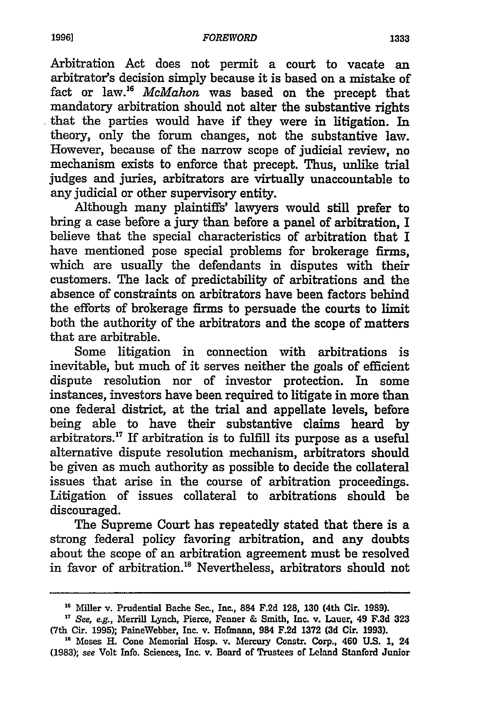Arbitration Act does not permit a court to vacate an arbitrator's decision simply because it is based on a mistake of fact or law."6 *McMahon* was based on the precept that mandatory arbitration should not alter the substantive rights that the parties would have if they were in litigation. In theory, only the forum changes, not the substantive law. However, because of the narrow scope of judicial review, no mechanism exists to enforce that precept. Thus, unlike trial judges and juries, arbitrators are virtually unaccountable to any judicial or other supervisory entity.

Although many plaintiffs' lawyers would still prefer to bring a case before a jury than before a panel of arbitration, I believe that the special characteristics of arbitration that I have mentioned pose special problems for brokerage firms, which are usually the defendants in disputes with their customers. The lack of predictability of arbitrations and the absence of constraints on arbitrators have been factors behind the efforts of brokerage firms to persuade the courts to limit both the authority of the arbitrators and the scope of matters that are arbitrable.

Some litigation in connection with arbitrations is inevitable, but much of it serves neither the goals of efficient dispute resolution nor of investor protection. In some instances, investors have been required to litigate in more than one federal district, at the trial and appellate levels, before being able to have their substantive claims heard by arbitrators.<sup>17</sup> If arbitration is to fulfill its purpose as a useful alternative dispute resolution mechanism, arbitrators should be given as much authority as possible to decide the collateral issues that arise in the course of arbitration proceedings. Litigation of issues collateral to arbitrations should be discouraged.

The Supreme Court has repeatedly stated that there is a strong federal policy favoring arbitration, and any doubts about the scope of an arbitration agreement must be resolved in favor of arbitration."8 Nevertheless, arbitrators should not

**<sup>&#</sup>x27;"** Miller v. Prudential Bache Sec., Inc., 884 **F.2d 128, 130** (4th Cir. **1989).**

**<sup>17</sup>**See, e.g., Merrill Lynch, Pierce, Fenner **&** Smith, Inc. v. Lauer, 49 **F.3d 323** (7th Cir. 1995); PaineWebber, Inc. v. Hofmann, 984 F.2d 1372 **(3d** Cir. **1993). <sup>18</sup>**Moses H. Cone Memorial Hosp. v. Mercury Constr. Corp., 460 **U.S. 1,** <sup>24</sup>

<sup>(1983);</sup> see Volt Info. Sciences, Inc. v. Board of Trustees of Leland Stanford Junior